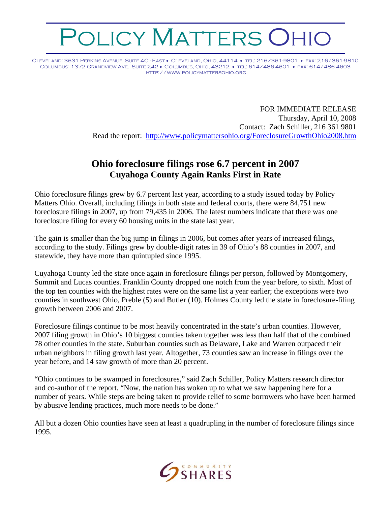## OLICY MATTERS OHIO

Cleveland: 3631 Perkins Avenue Suite 4C - East • Cleveland, Ohio, 44114 • tel: 216/361-9801 • fax: 216/361-9810 Columbus: 1372 Grandview Ave. Suite 242 • Columbus, Ohio, 43212 • tel: 614/486-4601 • fax: 614/486-4603 http://www.policymattersohio.org

> FOR IMMEDIATE RELEASE Thursday, April 10, 2008 Contact: Zach Schiller, 216 361 9801 Read the report: <http://www.policymattersohio.org/ForeclosureGrowthOhio2008.htm>

## **Ohio foreclosure filings rose 6.7 percent in 2007 Cuyahoga County Again Ranks First in Rate**

Ohio foreclosure filings grew by 6.7 percent last year, according to a study issued today by Policy Matters Ohio. Overall, including filings in both state and federal courts, there were 84,751 new foreclosure filings in 2007, up from 79,435 in 2006. The latest numbers indicate that there was one foreclosure filing for every 60 housing units in the state last year.

The gain is smaller than the big jump in filings in 2006, but comes after years of increased filings, according to the study. Filings grew by double-digit rates in 39 of Ohio's 88 counties in 2007, and statewide, they have more than quintupled since 1995.

Cuyahoga County led the state once again in foreclosure filings per person, followed by Montgomery, Summit and Lucas counties. Franklin County dropped one notch from the year before, to sixth. Most of the top ten counties with the highest rates were on the same list a year earlier; the exceptions were two counties in southwest Ohio, Preble (5) and Butler (10). Holmes County led the state in foreclosure-filing growth between 2006 and 2007.

Foreclosure filings continue to be most heavily concentrated in the state's urban counties. However, 2007 filing growth in Ohio's 10 biggest counties taken together was less than half that of the combined 78 other counties in the state. Suburban counties such as Delaware, Lake and Warren outpaced their urban neighbors in filing growth last year. Altogether, 73 counties saw an increase in filings over the year before, and 14 saw growth of more than 20 percent.

"Ohio continues to be swamped in foreclosures," said Zach Schiller, Policy Matters research director and co-author of the report. "Now, the nation has woken up to what we saw happening here for a number of years. While steps are being taken to provide relief to some borrowers who have been harmed by abusive lending practices, much more needs to be done."

All but a dozen Ohio counties have seen at least a quadrupling in the number of foreclosure filings since 1995.